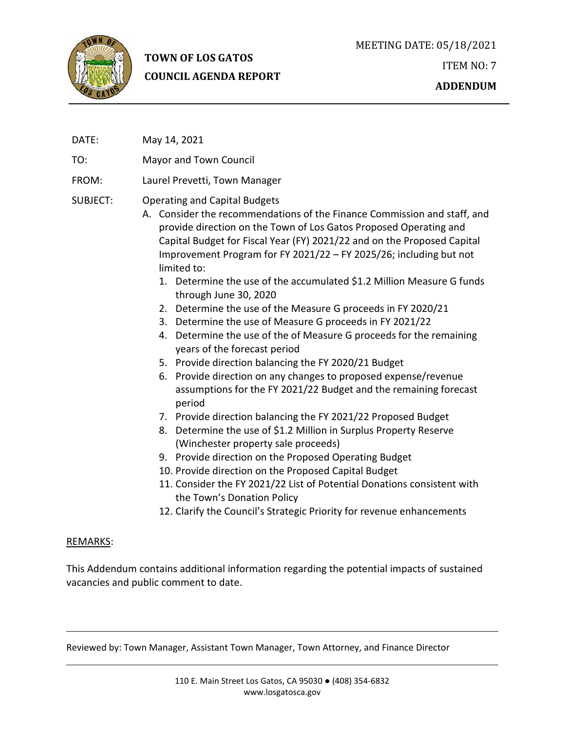

# **TOWN OF LOS GATOS COUNCIL AGENDA REPORT**

- DATE: May 14, 2021
- TO: Mayor and Town Council
- FROM: Laurel Prevetti, Town Manager

# SUBJECT: Operating and Capital Budgets

- A. Consider the recommendations of the Finance Commission and staff, and provide direction on the Town of Los Gatos Proposed Operating and Capital Budget for Fiscal Year (FY) 2021/22 and on the Proposed Capital Improvement Program for FY 2021/22 – FY 2025/26; including but not limited to:
	- 1. Determine the use of the accumulated \$1.2 Million Measure G funds through June 30, 2020
	- 2. Determine the use of the Measure G proceeds in FY 2020/21
	- 3. Determine the use of Measure G proceeds in FY 2021/22
	- 4. Determine the use of the of Measure G proceeds for the remaining years of the forecast period
	- 5. Provide direction balancing the FY 2020/21 Budget
	- 6. Provide direction on any changes to proposed expense/revenue assumptions for the FY 2021/22 Budget and the remaining forecast period
	- 7. Provide direction balancing the FY 2021/22 Proposed Budget
	- 8. Determine the use of \$1.2 Million in Surplus Property Reserve (Winchester property sale proceeds)
	- 9. Provide direction on the Proposed Operating Budget
	- 10. Provide direction on the Proposed Capital Budget
	- 11. Consider the FY 2021/22 List of Potential Donations consistent with the Town's Donation Policy
	- 12. Clarify the Council's Strategic Priority for revenue enhancements

# REMARKS:

This Addendum contains additional information regarding the potential impacts of sustained vacancies and public comment to date.

Reviewed by: Town Manager, Assistant Town Manager, Town Attorney, and Finance Director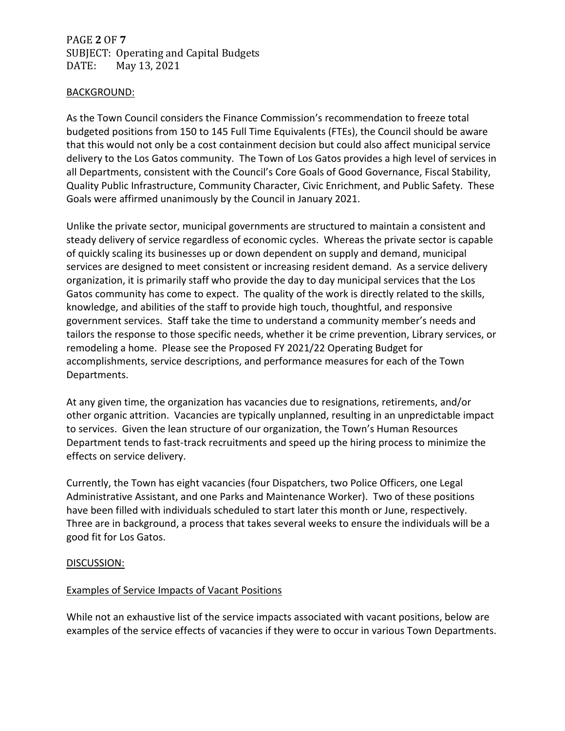PAGE **2** OF **7** SUBJECT: Operating and Capital Budgets<br>DATE: May 13, 2021 May 13, 2021

#### BACKGROUND:

As the Town Council considers the Finance Commission's recommendation to freeze total budgeted positions from 150 to 145 Full Time Equivalents (FTEs), the Council should be aware that this would not only be a cost containment decision but could also affect municipal service delivery to the Los Gatos community. The Town of Los Gatos provides a high level of services in all Departments, consistent with the Council's Core Goals of Good Governance, Fiscal Stability, Quality Public Infrastructure, Community Character, Civic Enrichment, and Public Safety. These Goals were affirmed unanimously by the Council in January 2021.

Unlike the private sector, municipal governments are structured to maintain a consistent and steady delivery of service regardless of economic cycles. Whereas the private sector is capable of quickly scaling its businesses up or down dependent on supply and demand, municipal services are designed to meet consistent or increasing resident demand. As a service delivery organization, it is primarily staff who provide the day to day municipal services that the Los Gatos community has come to expect. The quality of the work is directly related to the skills, knowledge, and abilities of the staff to provide high touch, thoughtful, and responsive government services. Staff take the time to understand a community member's needs and tailors the response to those specific needs, whether it be crime prevention, Library services, or remodeling a home. Please see the Proposed FY 2021/22 Operating Budget for accomplishments, service descriptions, and performance measures for each of the Town Departments.

At any given time, the organization has vacancies due to resignations, retirements, and/or other organic attrition. Vacancies are typically unplanned, resulting in an unpredictable impact to services. Given the lean structure of our organization, the Town's Human Resources Department tends to fast-track recruitments and speed up the hiring process to minimize the effects on service delivery.

Currently, the Town has eight vacancies (four Dispatchers, two Police Officers, one Legal Administrative Assistant, and one Parks and Maintenance Worker). Two of these positions have been filled with individuals scheduled to start later this month or June, respectively. Three are in background, a process that takes several weeks to ensure the individuals will be a good fit for Los Gatos.

# DISCUSSION:

# Examples of Service Impacts of Vacant Positions

While not an exhaustive list of the service impacts associated with vacant positions, below are examples of the service effects of vacancies if they were to occur in various Town Departments.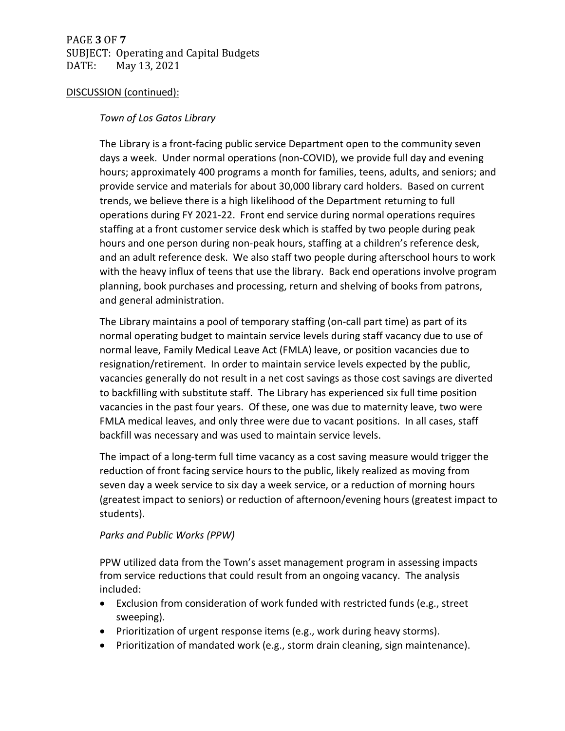PAGE **3** OF **7** SUBJECT: Operating and Capital Budgets<br>DATE: May 13, 2021 May 13, 2021

#### DISCUSSION (continued):

## *Town of Los Gatos Library*

The Library is a front-facing public service Department open to the community seven days a week. Under normal operations (non-COVID), we provide full day and evening hours; approximately 400 programs a month for families, teens, adults, and seniors; and provide service and materials for about 30,000 library card holders. Based on current trends, we believe there is a high likelihood of the Department returning to full operations during FY 2021-22. Front end service during normal operations requires staffing at a front customer service desk which is staffed by two people during peak hours and one person during non-peak hours, staffing at a children's reference desk, and an adult reference desk. We also staff two people during afterschool hours to work with the heavy influx of teens that use the library. Back end operations involve program planning, book purchases and processing, return and shelving of books from patrons, and general administration.

The Library maintains a pool of temporary staffing (on-call part time) as part of its normal operating budget to maintain service levels during staff vacancy due to use of normal leave, Family Medical Leave Act (FMLA) leave, or position vacancies due to resignation/retirement. In order to maintain service levels expected by the public, vacancies generally do not result in a net cost savings as those cost savings are diverted to backfilling with substitute staff. The Library has experienced six full time position vacancies in the past four years. Of these, one was due to maternity leave, two were FMLA medical leaves, and only three were due to vacant positions. In all cases, staff backfill was necessary and was used to maintain service levels.

The impact of a long-term full time vacancy as a cost saving measure would trigger the reduction of front facing service hours to the public, likely realized as moving from seven day a week service to six day a week service, or a reduction of morning hours (greatest impact to seniors) or reduction of afternoon/evening hours (greatest impact to students).

# *Parks and Public Works (PPW)*

PPW utilized data from the Town's asset management program in assessing impacts from service reductions that could result from an ongoing vacancy. The analysis included:

- Exclusion from consideration of work funded with restricted funds (e.g., street sweeping).
- Prioritization of urgent response items (e.g., work during heavy storms).
- Prioritization of mandated work (e.g., storm drain cleaning, sign maintenance).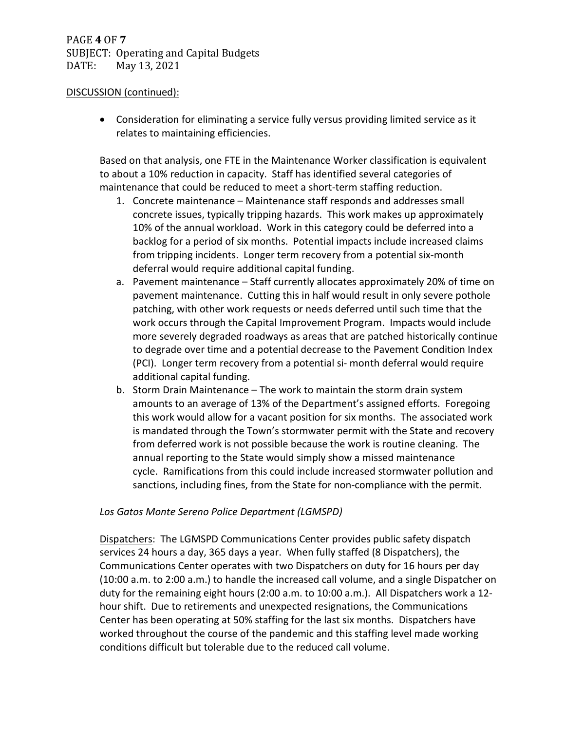• Consideration for eliminating a service fully versus providing limited service as it relates to maintaining efficiencies.

Based on that analysis, one FTE in the Maintenance Worker classification is equivalent to about a 10% reduction in capacity. Staff has identified several categories of maintenance that could be reduced to meet a short-term staffing reduction.

- 1. Concrete maintenance Maintenance staff responds and addresses small concrete issues, typically tripping hazards. This work makes up approximately 10% of the annual workload. Work in this category could be deferred into a backlog for a period of six months. Potential impacts include increased claims from tripping incidents. Longer term recovery from a potential six-month deferral would require additional capital funding.
- a. Pavement maintenance Staff currently allocates approximately 20% of time on pavement maintenance. Cutting this in half would result in only severe pothole patching, with other work requests or needs deferred until such time that the work occurs through the Capital Improvement Program. Impacts would include more severely degraded roadways as areas that are patched historically continue to degrade over time and a potential decrease to the Pavement Condition Index (PCI). Longer term recovery from a potential si- month deferral would require additional capital funding.
- b. Storm Drain Maintenance The work to maintain the storm drain system amounts to an average of 13% of the Department's assigned efforts. Foregoing this work would allow for a vacant position for six months. The associated work is mandated through the Town's stormwater permit with the State and recovery from deferred work is not possible because the work is routine cleaning. The annual reporting to the State would simply show a missed maintenance cycle. Ramifications from this could include increased stormwater pollution and sanctions, including fines, from the State for non-compliance with the permit.

# *Los Gatos Monte Sereno Police Department (LGMSPD)*

Dispatchers: The LGMSPD Communications Center provides public safety dispatch services 24 hours a day, 365 days a year. When fully staffed (8 Dispatchers), the Communications Center operates with two Dispatchers on duty for 16 hours per day (10:00 a.m. to 2:00 a.m.) to handle the increased call volume, and a single Dispatcher on duty for the remaining eight hours (2:00 a.m. to 10:00 a.m.). All Dispatchers work a 12 hour shift. Due to retirements and unexpected resignations, the Communications Center has been operating at 50% staffing for the last six months. Dispatchers have worked throughout the course of the pandemic and this staffing level made working conditions difficult but tolerable due to the reduced call volume.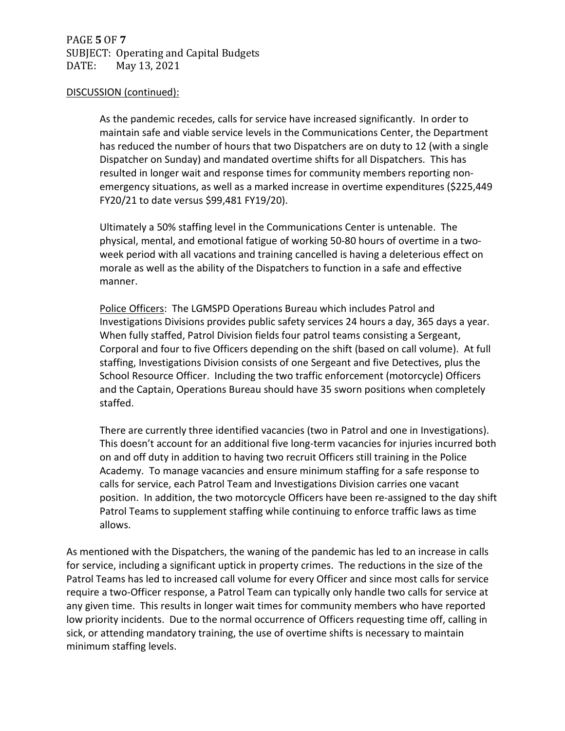As the pandemic recedes, calls for service have increased significantly. In order to maintain safe and viable service levels in the Communications Center, the Department has reduced the number of hours that two Dispatchers are on duty to 12 (with a single Dispatcher on Sunday) and mandated overtime shifts for all Dispatchers. This has resulted in longer wait and response times for community members reporting nonemergency situations, as well as a marked increase in overtime expenditures (\$225,449 FY20/21 to date versus \$99,481 FY19/20).

Ultimately a 50% staffing level in the Communications Center is untenable. The physical, mental, and emotional fatigue of working 50-80 hours of overtime in a twoweek period with all vacations and training cancelled is having a deleterious effect on morale as well as the ability of the Dispatchers to function in a safe and effective manner.

Police Officers: The LGMSPD Operations Bureau which includes Patrol and Investigations Divisions provides public safety services 24 hours a day, 365 days a year. When fully staffed, Patrol Division fields four patrol teams consisting a Sergeant, Corporal and four to five Officers depending on the shift (based on call volume). At full staffing, Investigations Division consists of one Sergeant and five Detectives, plus the School Resource Officer. Including the two traffic enforcement (motorcycle) Officers and the Captain, Operations Bureau should have 35 sworn positions when completely staffed.

There are currently three identified vacancies (two in Patrol and one in Investigations). This doesn't account for an additional five long-term vacancies for injuries incurred both on and off duty in addition to having two recruit Officers still training in the Police Academy. To manage vacancies and ensure minimum staffing for a safe response to calls for service, each Patrol Team and Investigations Division carries one vacant position. In addition, the two motorcycle Officers have been re-assigned to the day shift Patrol Teams to supplement staffing while continuing to enforce traffic laws as time allows.

As mentioned with the Dispatchers, the waning of the pandemic has led to an increase in calls for service, including a significant uptick in property crimes. The reductions in the size of the Patrol Teams has led to increased call volume for every Officer and since most calls for service require a two-Officer response, a Patrol Team can typically only handle two calls for service at any given time. This results in longer wait times for community members who have reported low priority incidents. Due to the normal occurrence of Officers requesting time off, calling in sick, or attending mandatory training, the use of overtime shifts is necessary to maintain minimum staffing levels.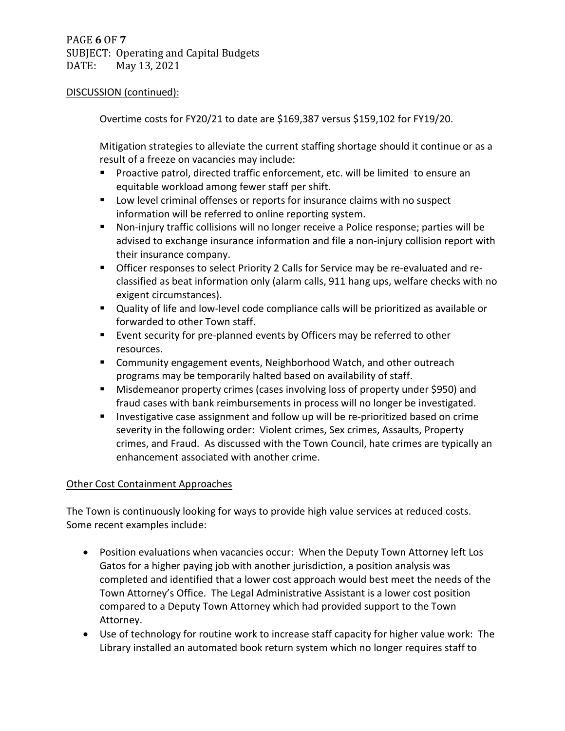Overtime costs for FY20/21 to date are \$169,387 versus \$159,102 for FY19/20.

Mitigation strategies to alleviate the current staffing shortage should it continue or as a result of a freeze on vacancies may include:

- Proactive patrol, directed traffic enforcement, etc. will be limited to ensure an equitable workload among fewer staff per shift.
- **Low level criminal offenses or reports for insurance claims with no suspect** information will be referred to online reporting system.
- Non-injury traffic collisions will no longer receive a Police response; parties will be advised to exchange insurance information and file a non-injury collision report with their insurance company.
- **Officer responses to select Priority 2 Calls for Service may be re-evaluated and re**classified as beat information only (alarm calls, 911 hang ups, welfare checks with no exigent circumstances).
- Quality of life and low-level code compliance calls will be prioritized as available or forwarded to other Town staff.
- Event security for pre-planned events by Officers may be referred to other resources.
- Community engagement events, Neighborhood Watch, and other outreach programs may be temporarily halted based on availability of staff.
- Misdemeanor property crimes (cases involving loss of property under \$950) and fraud cases with bank reimbursements in process will no longer be investigated.
- Investigative case assignment and follow up will be re-prioritized based on crime severity in the following order: Violent crimes, Sex crimes, Assaults, Property crimes, and Fraud. As discussed with the Town Council, hate crimes are typically an enhancement associated with another crime.

# Other Cost Containment Approaches

The Town is continuously looking for ways to provide high value services at reduced costs. Some recent examples include:

- Position evaluations when vacancies occur: When the Deputy Town Attorney left Los Gatos for a higher paying job with another jurisdiction, a position analysis was completed and identified that a lower cost approach would best meet the needs of the Town Attorney's Office. The Legal Administrative Assistant is a lower cost position compared to a Deputy Town Attorney which had provided support to the Town Attorney.
- Use of technology for routine work to increase staff capacity for higher value work: The Library installed an automated book return system which no longer requires staff to